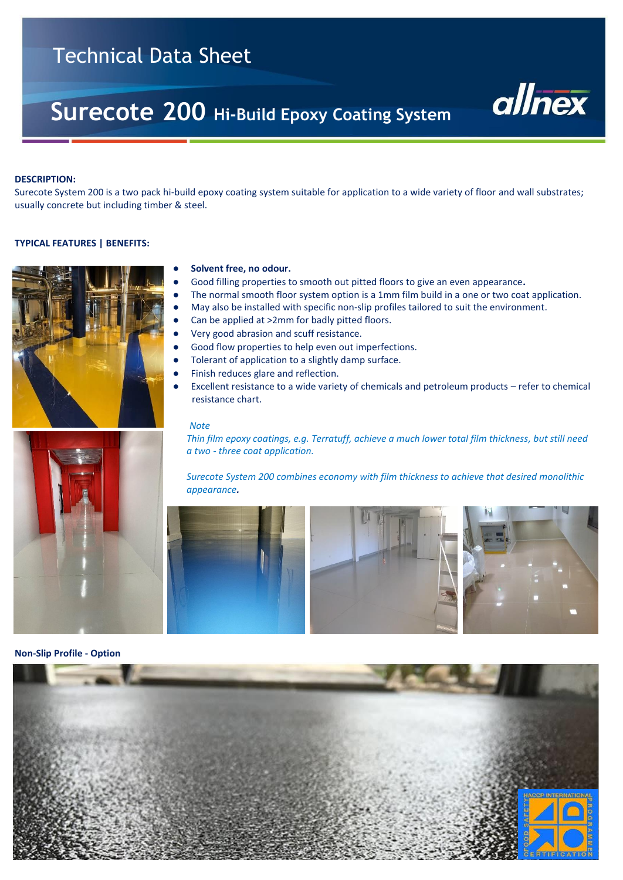# Technical Data Sheet

# **Surecote 200 Hi-Build Epoxy Coating System**



#### **DESCRIPTION:**

Surecote System 200 is a two pack hi-build epoxy coating system suitable for application to a wide variety of floor and wall substrates; usually concrete but including timber & steel.

#### **TYPICAL FEATURES | BENEFITS:**



# Solvent free, no odour.

- Good filling properties to smooth out pitted floors to give an even appearance.
- **●** The normal smooth floor system option is a 1mm film build in a one or two coat application.
- **●** May also be installed with specific non-slip profiles tailored to suit the environment.
- Can be applied at >2mm for badly pitted floors.
- Very good abrasion and scuff resistance.
- Good flow properties to help even out imperfections.
- Tolerant of application to a slightly damp surface.
- Finish reduces glare and reflection.
- Excellent resistance to a wide variety of chemicals and petroleum products refer to chemical resistance chart.

#### *Note*

 *Thin film epoxy coatings, e.g. Terratuff, achieve a much lower total film thickness, but still need a two - three coat application.* 

 *Surecote System 200 combines economy with film thickness to achieve that desired monolithic appearance.*





**Non-Slip Profile - Option**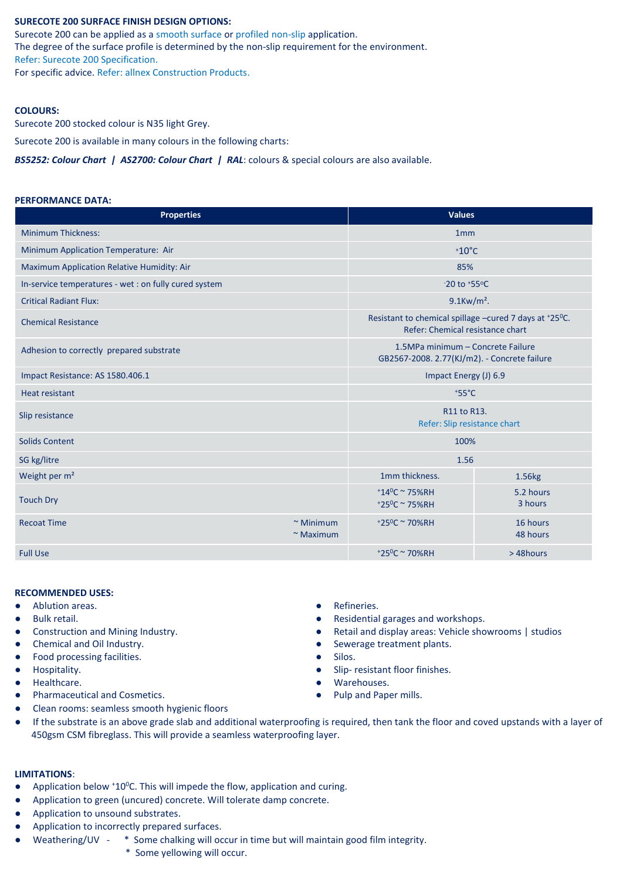# **SURECOTE 200 SURFACE FINISH DESIGN OPTIONS:**

Surecote 200 can be applied as a smooth surface or profiled non-slip application. The degree of the surface profile is determined by the non-slip requirement for the environment. Refer: Surecote 200 Specification.

For specific advice. Refer: allnex Construction Products.

#### **COLOURS:**

Surecote 200 stocked colour is N35 light Grey.

Surecote 200 is available in many colours in the following charts:

*BS5252: Colour Chart | AS2700: Colour Chart | RAL*: colours & special colours are also available.

#### **PERFORMANCE DATA:**

| <b>Properties</b>                                     | <b>Values</b>                      |                                                                                            |                      |  |  |
|-------------------------------------------------------|------------------------------------|--------------------------------------------------------------------------------------------|----------------------|--|--|
| <b>Minimum Thickness:</b>                             | 1 <sub>mm</sub>                    |                                                                                            |                      |  |  |
| Minimum Application Temperature: Air                  |                                    | $+10^{\circ}$ C                                                                            |                      |  |  |
| Maximum Application Relative Humidity: Air            |                                    | 85%                                                                                        |                      |  |  |
| In-service temperatures - wet : on fully cured system |                                    | <sup>-20</sup> to <sup>+55°C</sup>                                                         |                      |  |  |
| <b>Critical Radiant Flux:</b>                         |                                    | $9.1$ Kw/m <sup>2</sup> .                                                                  |                      |  |  |
| <b>Chemical Resistance</b>                            |                                    | Resistant to chemical spillage -cured 7 days at +25°C.<br>Refer: Chemical resistance chart |                      |  |  |
| Adhesion to correctly prepared substrate              |                                    | 1.5MPa minimum - Concrete Failure<br>GB2567-2008. 2.77(KJ/m2). - Concrete failure          |                      |  |  |
| Impact Resistance: AS 1580.406.1                      |                                    | Impact Energy (J) 6.9                                                                      |                      |  |  |
| Heat resistant                                        |                                    | $*55^{\circ}C$                                                                             |                      |  |  |
| Slip resistance                                       |                                    | R11 to R13.<br>Refer: Slip resistance chart                                                |                      |  |  |
| <b>Solids Content</b>                                 |                                    | 100%                                                                                       |                      |  |  |
| SG kg/litre                                           |                                    | 1.56                                                                                       |                      |  |  |
| Weight per m <sup>2</sup>                             |                                    | 1mm thickness.                                                                             | 1.56kg               |  |  |
| <b>Touch Dry</b>                                      |                                    | $+14^0C \approx 75\%RH$<br>+25 <sup>0</sup> C ~ 75%RH                                      | 5.2 hours<br>3 hours |  |  |
| <b>Recoat Time</b>                                    | $~\sim$ Minimum<br>$~\sim$ Maximum | +25 <sup>0</sup> C ~ 70%RH                                                                 | 16 hours<br>48 hours |  |  |
| <b>Full Use</b>                                       |                                    | $+25^{\circ}$ C ~ 70%RH                                                                    | >48hours             |  |  |

#### **RECOMMENDED USES:**

- Ablution areas. 
Refineries.

Refineries.

Refineries.

Refineries.

Refineries.

Refineries.

Refineries.

Refineries.

Refineries.

Refineries.

Refineries.

Refineries.

Refineries.

Refin
- 
- 
- 
- Food processing facilities. <br>● Silos.
- 
- Healthcare. Warehouses.
- Pharmaceutical and Cosmetics. <br>● Pulp and Paper mills.
- Clean rooms: seamless smooth hygienic floors
- 
- **Bulk retail. a** Residential garages and workshops.  **Residential garages and workshops.**
- Construction and Mining Industry. <br>● Retail and display areas: Vehicle showrooms | studios
- Chemical and Oil Industry. <br>● Sewerage treatment plants.
	-
- Hospitality. Slip- resistant floor finishes.
	-
	-
- If the substrate is an above grade slab and additional waterproofing is required, then tank the floor and coved upstands with a layer of 450gsm CSM fibreglass. This will provide a seamless waterproofing layer.

#### **LIMITATIONS**:

- Application below  $*10^{\circ}$ C. This will impede the flow, application and curing.
- Application to green (uncured) concrete. Will tolerate damp concrete.
- Application to unsound substrates.
- Application to incorrectly prepared surfaces.
- Weathering/UV \* Some chalking will occur in time but will maintain good film integrity.
	- \* Some yellowing will occur.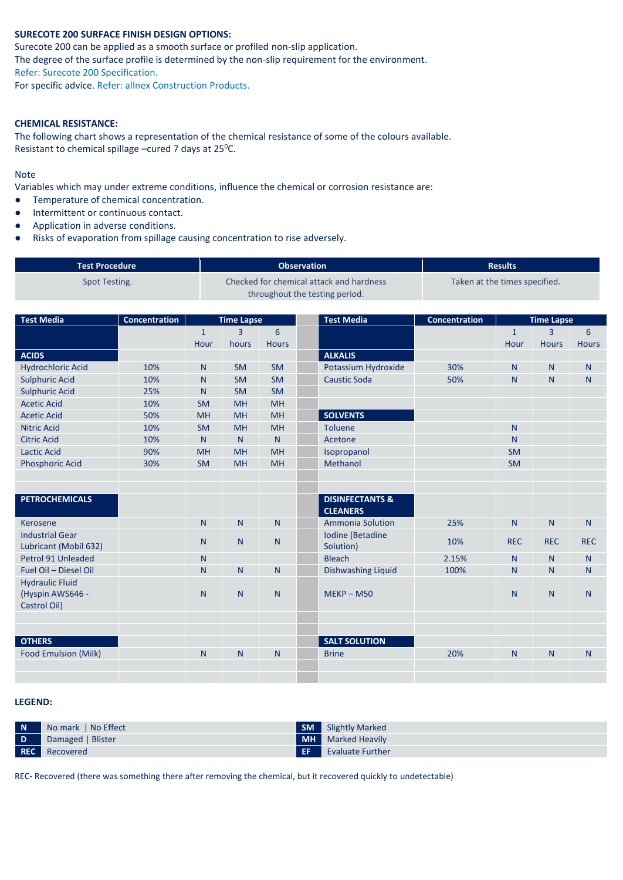# **SURECOTE 200 SURFACE FINISH DESIGN OPTIONS:**

Surecote 200 can be applied as a smooth surface or profiled non-slip application. The degree of the surface profile is determined by the non-slip requirement for the environment. Refer: Surecote 200 Specification.

For specific advice. Refer: allnex Construction Products.

## **CHEMICAL RESISTANCE:**

The following chart shows a representation of the chemical resistance of some of the colours available. Resistant to chemical spillage –cured 7 days at 25<sup>o</sup>C.

# Note

Variables which may under extreme conditions, influence the chemical or corrosion resistance are:

- Temperature of chemical concentration.
- Intermittent or continuous contact.
- Application in adverse conditions.
- Risks of evaporation from spillage causing concentration to rise adversely.

| <b>Test Procedure</b> | <b>Observation</b>                       | <b>Results</b>                |
|-----------------------|------------------------------------------|-------------------------------|
| Spot Testing.         | Checked for chemical attack and hardness | Taken at the times specified. |
|                       | throughout the testing period.           |                               |

| <b>Test Media</b>                                          | Concentration |              | <b>Time Lapse</b> |                | <b>Test Media</b>                             | <b>Concentration</b> |              | <b>Time Lapse</b> |              |
|------------------------------------------------------------|---------------|--------------|-------------------|----------------|-----------------------------------------------|----------------------|--------------|-------------------|--------------|
|                                                            |               | $\mathbf{1}$ | 3                 | 6              |                                               |                      | $\mathbf{1}$ | $\overline{3}$    | 6            |
|                                                            |               | Hour         | hours             | <b>Hours</b>   |                                               |                      | Hour         | <b>Hours</b>      | <b>Hours</b> |
| <b>ACIDS</b>                                               |               |              |                   |                | <b>ALKALIS</b>                                |                      |              |                   |              |
| <b>Hydrochloric Acid</b>                                   | 10%           | N            | <b>SM</b>         | <b>SM</b>      | Potassium Hydroxide                           | 30%                  | N.           | $\mathsf{N}$      | N            |
| <b>Sulphuric Acid</b>                                      | 10%           | $\mathsf{N}$ | <b>SM</b>         | <b>SM</b>      | <b>Caustic Soda</b>                           | 50%                  | N.           | N                 | $\mathsf{N}$ |
| <b>Sulphuric Acid</b>                                      | 25%           | N            | <b>SM</b>         | <b>SM</b>      |                                               |                      |              |                   |              |
| <b>Acetic Acid</b>                                         | 10%           | <b>SM</b>    | <b>MH</b>         | <b>MH</b>      |                                               |                      |              |                   |              |
| <b>Acetic Acid</b>                                         | 50%           | <b>MH</b>    | <b>MH</b>         | <b>MH</b>      | <b>SOLVENTS</b>                               |                      |              |                   |              |
| <b>Nitric Acid</b>                                         | 10%           | <b>SM</b>    | <b>MH</b>         | <b>MH</b>      | Toluene                                       |                      | N.           |                   |              |
| <b>Citric Acid</b>                                         | 10%           | N            | $\mathsf{N}$      | N              | Acetone                                       |                      | N.           |                   |              |
| <b>Lactic Acid</b>                                         | 90%           | <b>MH</b>    | <b>MH</b>         | <b>MH</b>      | Isopropanol                                   |                      | <b>SM</b>    |                   |              |
| <b>Phosphoric Acid</b>                                     | 30%           | <b>SM</b>    | <b>MH</b>         | <b>MH</b>      | Methanol                                      |                      | <b>SM</b>    |                   |              |
|                                                            |               |              |                   |                |                                               |                      |              |                   |              |
|                                                            |               |              |                   |                |                                               |                      |              |                   |              |
| <b>PETROCHEMICALS</b>                                      |               |              |                   |                | <b>DISINFECTANTS &amp;</b><br><b>CLEANERS</b> |                      |              |                   |              |
| Kerosene                                                   |               | $\mathsf{N}$ | N                 | N <sub>1</sub> | <b>Ammonia Solution</b>                       | 25%                  | N.           | N                 | N            |
| <b>Industrial Gear</b><br>Lubricant (Mobil 632)            |               | N            | $\mathsf{N}$      | N.             | Iodine (Betadine<br>Solution)                 | 10%                  | <b>REC</b>   | <b>REC</b>        | <b>REC</b>   |
| Petrol 91 Unleaded                                         |               | N            |                   |                | <b>Bleach</b>                                 | 2.15%                | N            | N                 | N            |
| Fuel Oil - Diesel Oil                                      |               | N            | $\mathsf{N}$      | N              | <b>Dishwashing Liquid</b>                     | 100%                 | N.           | N                 | N            |
| <b>Hydraulic Fluid</b><br>(Hyspin AWS646 -<br>Castrol Oil) |               | N            | $\mathsf{N}$      | N              | $MEKP - M50$                                  |                      | N.           | N                 | N            |
|                                                            |               |              |                   |                |                                               |                      |              |                   |              |
|                                                            |               |              |                   |                |                                               |                      |              |                   |              |
| <b>OTHERS</b>                                              |               |              |                   |                | <b>SALT SOLUTION</b>                          |                      |              |                   |              |
| Food Emulsion (Milk)                                       |               | $\mathsf{N}$ | $\mathsf{N}$      | $\mathsf{N}$   | <b>Brine</b>                                  | 20%                  | $\mathsf{N}$ | N                 | N            |
|                                                            |               |              |                   |                |                                               |                      |              |                   |              |
|                                                            |               |              |                   |                |                                               |                      |              |                   |              |

# **LEGEND:**

| N  | No mark   No Effect  | <b>SM</b> | Slightly Marked          |
|----|----------------------|-----------|--------------------------|
| D. | Damaged   Blister    |           | <b>MH</b> Marked Heavily |
|    | <b>REC</b> Recovered | EF        | <b>Evaluate Further</b>  |

REC**-** Recovered (there was something there after removing the chemical, but it recovered quickly to undetectable)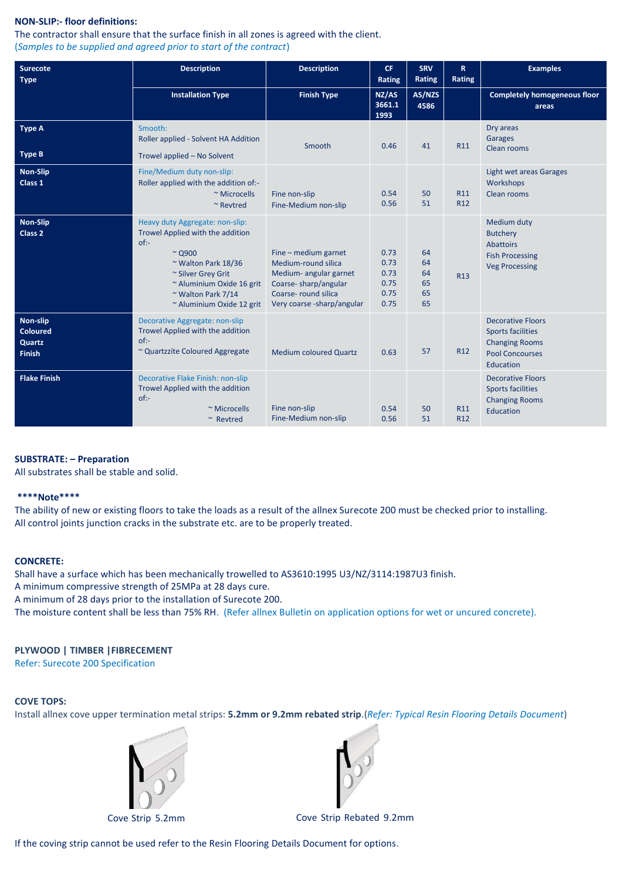# **NON-SLIP:- floor definitions:**

The contractor shall ensure that the surface finish in all zones is agreed with the client. (*Samples to be supplied and agreed prior to start of the contract*)

| <b>Surecote</b><br><b>Type</b>                         | <b>Description</b>                                                                                                                                                                                                            | <b>Description</b>                                                                                                                                 | CF.<br>Rating                                | <b>SRV</b><br><b>Rating</b>      | $\mathbf R$<br>Rating  | <b>Examples</b>                                                                                                      |
|--------------------------------------------------------|-------------------------------------------------------------------------------------------------------------------------------------------------------------------------------------------------------------------------------|----------------------------------------------------------------------------------------------------------------------------------------------------|----------------------------------------------|----------------------------------|------------------------|----------------------------------------------------------------------------------------------------------------------|
|                                                        | <b>Installation Type</b>                                                                                                                                                                                                      | <b>Finish Type</b>                                                                                                                                 | NZ/AS<br>3661.1<br>1993                      | AS/NZS<br>4586                   |                        | <b>Completely homogeneous floor</b><br>areas                                                                         |
| <b>Type A</b><br><b>Type B</b>                         | Smooth:<br>Roller applied - Solvent HA Addition<br>Trowel applied - No Solvent                                                                                                                                                | Smooth                                                                                                                                             | 0.46                                         | 41                               | R <sub>11</sub>        | Dry areas<br>Garages<br>Clean rooms                                                                                  |
| <b>Non-Slip</b><br>Class 1                             | Fine/Medium duty non-slip:<br>Roller applied with the addition of:-<br>~ Microcells<br>$~\sim$ Revtred                                                                                                                        | Fine non-slip<br>Fine-Medium non-slip                                                                                                              | 0.54<br>0.56                                 | 50<br>51                         | R11<br>R <sub>12</sub> | <b>Light wet areas Garages</b><br>Workshops<br>Clean rooms                                                           |
| <b>Non-Slip</b><br>Class <sub>2</sub>                  | Heavy duty Aggregate: non-slip:<br>Trowel Applied with the addition<br>$of:-$<br>$\sim$ Q900<br>~ Walton Park $18/36$<br>~ Silver Grey Grit<br>~ Aluminium Oxide 16 grit<br>~ Walton Park $7/14$<br>~ Aluminium Oxide 12 grit | Fine - medium garnet<br>Medium-round silica<br>Medium- angular garnet<br>Coarse-sharp/angular<br>Coarse-round silica<br>Very coarse -sharp/angular | 0.73<br>0.73<br>0.73<br>0.75<br>0.75<br>0.75 | 64<br>64<br>64<br>65<br>65<br>65 | R <sub>13</sub>        | Medium duty<br><b>Butchery</b><br>Abattoirs<br><b>Fish Processing</b><br><b>Veg Processing</b>                       |
| Non-slip<br><b>Coloured</b><br>Quartz<br><b>Finish</b> | Decorative Aggregate: non-slip<br>Trowel Applied with the addition<br>$of:-$<br>~ Quartzzite Coloured Aggregate                                                                                                               | <b>Medium coloured Quartz</b>                                                                                                                      | 0.63                                         | 57                               | R <sub>12</sub>        | <b>Decorative Floors</b><br><b>Sports facilities</b><br><b>Changing Rooms</b><br><b>Pool Concourses</b><br>Education |
| <b>Flake Finish</b>                                    | Decorative Flake Finish: non-slip<br>Trowel Applied with the addition<br>$of:-$<br>~ Microcells<br>$~\sim$ Revtred                                                                                                            | Fine non-slip<br>Fine-Medium non-slip                                                                                                              | 0.54<br>0.56                                 | 50<br>51                         | R11<br>R <sub>12</sub> | <b>Decorative Floors</b><br><b>Sports facilities</b><br><b>Changing Rooms</b><br><b>Education</b>                    |

# **SUBSTRATE: – Preparation**

All substrates shall be stable and solid.

#### **\*\*\*\*Note\*\*\*\***

The ability of new or existing floors to take the loads as a result of the allnex Surecote 200 must be checked prior to installing. All control joints junction cracks in the substrate etc. are to be properly treated.

# **CONCRETE:**

Shall have a surface which has been mechanically trowelled to AS3610:1995 U3/NZ/3114:1987U3 finish.

A minimum compressive strength of 25MPa at 28 days cure.

A minimum of 28 days prior to the installation of Surecote 200.

The moisture content shall be less than 75% RH. (Refer allnex Bulletin on application options for wet or uncured concrete).

# **PLYWOOD | TIMBER |FIBRECEMENT**

Refer: Surecote 200 Specification

# **COVE TOPS:**

Install allnex cove upper termination metal strips: **5.2mm or 9.2mm rebated strip**.(*Refer: Typical Resin Flooring Details Document*)





Cove Strip 5.2mm Cove Strip Rebated 9.2mm

If the coving strip cannot be used refer to the Resin Flooring Details Document for options.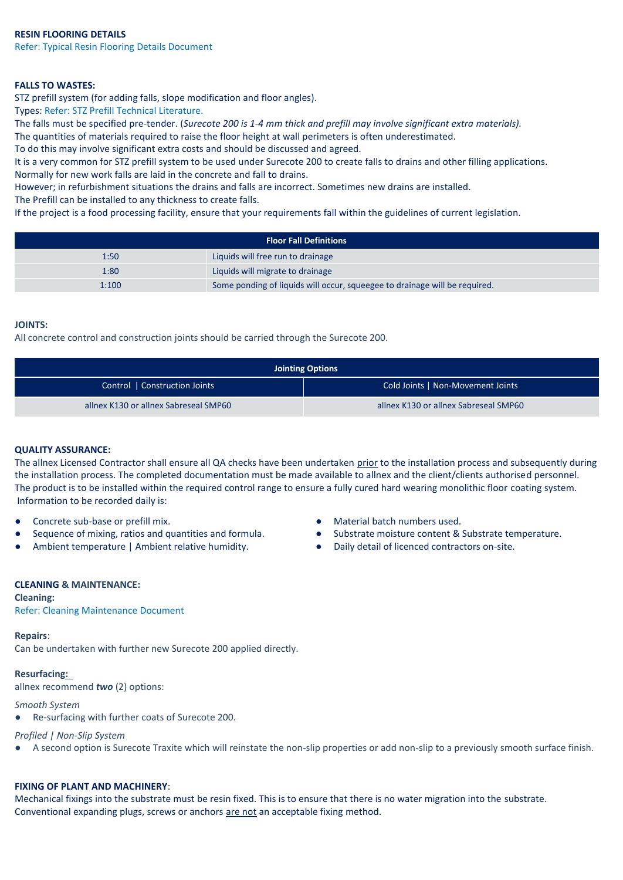Refer: Typical Resin Flooring Details Document

# **FALLS TO WASTES:**

STZ prefill system (for adding falls, slope modification and floor angles).

Types: Refer: STZ Prefill Technical Literature.

The falls must be specified pre-tender. (*Surecote 200 is 1-4 mm thick and prefill may involve significant extra materials).*

The quantities of materials required to raise the floor height at wall perimeters is often underestimated.

To do this may involve significant extra costs and should be discussed and agreed.

It is a very common for STZ prefill system to be used under Surecote 200 to create falls to drains and other filling applications. Normally for new work falls are laid in the concrete and fall to drains.

However; in refurbishment situations the drains and falls are incorrect. Sometimes new drains are installed.

The Prefill can be installed to any thickness to create falls.

If the project is a food processing facility, ensure that your requirements fall within the guidelines of current legislation.

| <b>Floor Fall Definitions</b> |                                                                            |  |  |  |
|-------------------------------|----------------------------------------------------------------------------|--|--|--|
| 1:50                          | Liquids will free run to drainage                                          |  |  |  |
| 1:80                          | Liquids will migrate to drainage                                           |  |  |  |
| 1:100                         | Some ponding of liquids will occur, squeegee to drainage will be required. |  |  |  |

#### **JOINTS:**

All concrete control and construction joints should be carried through the Surecote 200.

| <b>Jointing Options</b>               |                                       |  |  |  |
|---------------------------------------|---------------------------------------|--|--|--|
| Control   Construction Joints         | Cold Joints   Non-Movement Joints     |  |  |  |
| allnex K130 or allnex Sabreseal SMP60 | allnex K130 or allnex Sabreseal SMP60 |  |  |  |

# **QUALITY ASSURANCE:**

The allnex Licensed Contractor shall ensure all QA checks have been undertaken prior to the installation process and subsequently during the installation process. The completed documentation must be made available to allnex and the client/clients authorised personnel. The product is to be installed within the required control range to ensure a fully cured hard wearing monolithic floor coating system. Information to be recorded daily is:

- Concrete sub-base or prefill mix. <br>● Material batch numbers used.
- 
- Ambient temperature | Ambient relative humidity. <br>
Daily detail of licenced contractors on-site.
- 
- Sequence of mixing, ratios and quantities and formula.  $\bullet$  Substrate moisture content & Substrate temperature.
	-

#### **CLEANING & MAINTENANCE:**

#### **Cleaning:**

Refer: Cleaning Maintenance Document

# **Repairs**:

Can be undertaken with further new Surecote 200 applied directly.

# **Resurfacing:**

allnex recommend *two* (2) options:

# *Smooth System*

Re-surfacing with further coats of Surecote 200.

# *Profiled | Non-Slip System*

● A second option is Surecote Traxite which will reinstate the non-slip properties or add non-slip to a previously smooth surface finish.

# **FIXING OF PLANT AND MACHINERY**:

Mechanical fixings into the substrate must be resin fixed. This is to ensure that there is no water migration into the substrate. Conventional expanding plugs, screws or anchors are not an acceptable fixing method.